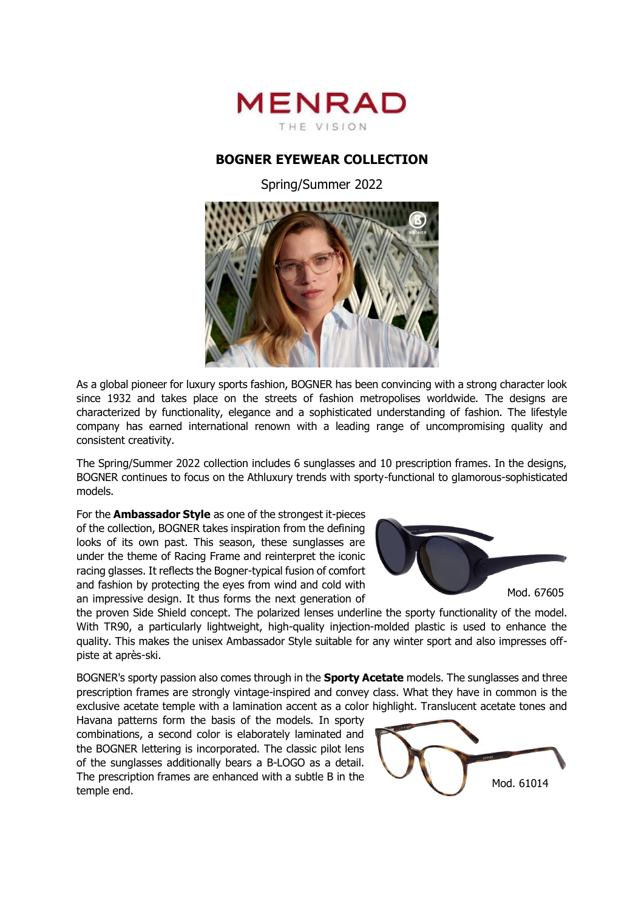

## **BOGNER EYEWEAR COLLECTION**

Spring/Summer 2022



As a global pioneer for luxury sports fashion, BOGNER has been convincing with a strong character look since 1932 and takes place on the streets of fashion metropolises worldwide. The designs are characterized by functionality, elegance and a sophisticated understanding of fashion. The lifestyle company has earned international renown with a leading range of uncompromising quality and consistent creativity.

The Spring/Summer 2022 collection includes 6 sunglasses and 10 prescription frames. In the designs, BOGNER continues to focus on the Athluxury trends with sporty-functional to glamorous-sophisticated models.

For the **Ambassador Style** as one of the strongest it-pieces of the collection, BOGNER takes inspiration from the defining looks of its own past. This season, these sunglasses are under the theme of Racing Frame and reinterpret the iconic racing glasses. It reflects the Bogner-typical fusion of comfort and fashion by protecting the eyes from wind and cold with an impressive design. It thus forms the next generation of



the proven Side Shield concept. The polarized lenses underline the sporty functionality of the model. With TR90, a particularly lightweight, high-quality injection-molded plastic is used to enhance the quality. This makes the unisex Ambassador Style suitable for any winter sport and also impresses offpiste at après-ski.

BOGNER's sporty passion also comes through in the **Sporty Acetate** models. The sunglasses and three prescription frames are strongly vintage-inspired and convey class. What they have in common is the exclusive acetate temple with a lamination accent as a color highlight. Translucent acetate tones and

Havana patterns form the basis of the models. In sporty combinations, a second color is elaborately laminated and the BOGNER lettering is incorporated. The classic pilot lens of the sunglasses additionally bears a B-LOGO as a detail. The prescription frames are enhanced with a subtle B in the temple end.